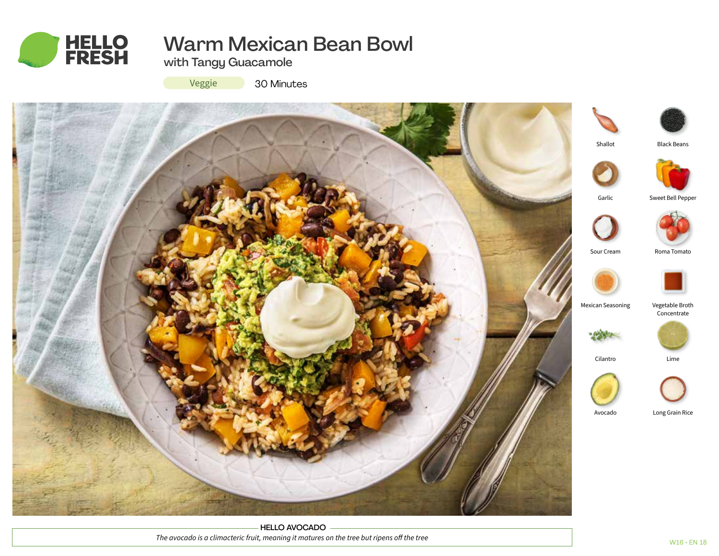

# Warm Mexican Bean Bowl

with Tangy Guacamole

Veggie

30 Minutes



HELLO AVOCADO *The avocado is a climacteric fruit, meaning it matures on the tree but ripens off the tree*